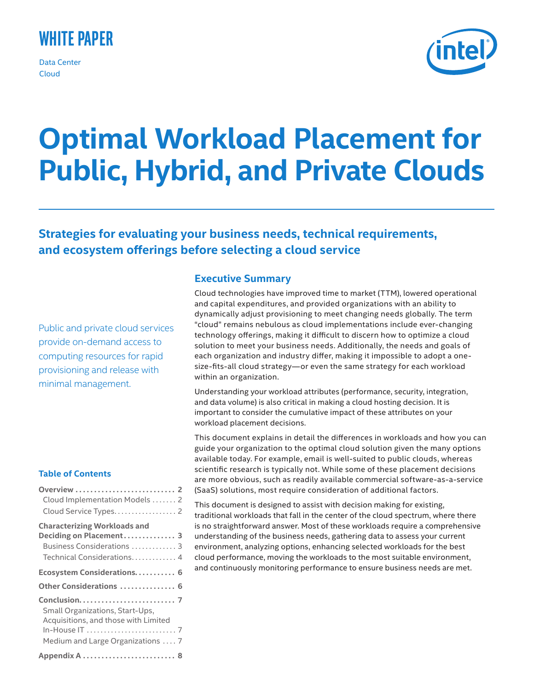## **White Paper**

Data Center Cloud



# **Optimal Workload Placement for Public, Hybrid, and Private Clouds**

## **Strategies for evaluating your business needs, technical requirements, and ecosystem offerings before selecting a cloud service**

Public and private cloud services provide on-demand access to computing resources for rapid provisioning and release with minimal management.

## **Table of Contents**

| Cloud Implementation Models 2<br>Cloud Service Types. 2                                                                    |  |
|----------------------------------------------------------------------------------------------------------------------------|--|
| <b>Characterizing Workloads and</b><br>Deciding on Placement 3<br>Business Considerations  3<br>Technical Considerations 4 |  |
| Ecosystem Considerations 6                                                                                                 |  |
| Other Considerations  6                                                                                                    |  |
| Small Organizations, Start-Ups,<br>Acquisitions, and those with Limited                                                    |  |
| Medium and Large Organizations  7                                                                                          |  |
| Appendix A  8                                                                                                              |  |

## **Executive Summary**

Cloud technologies have improved time to market (TTM), lowered operational and capital expenditures, and provided organizations with an ability to dynamically adjust provisioning to meet changing needs globally. The term "cloud" remains nebulous as cloud implementations include ever-changing technology offerings, making it difficult to discern how to optimize a cloud solution to meet your business needs. Additionally, the needs and goals of each organization and industry differ, making it impossible to adopt a onesize-fits-all cloud strategy—or even the same strategy for each workload within an organization.

Understanding your workload attributes (performance, security, integration, and data volume) is also critical in making a cloud hosting decision. It is important to consider the cumulative impact of these attributes on your workload placement decisions.

This document explains in detail the differences in workloads and how you can guide your organization to the optimal cloud solution given the many options available today. For example, email is well-suited to public clouds, whereas scientific research is typically not. While some of these placement decisions are more obvious, such as readily available commercial software-as-a-service (SaaS) solutions, most require consideration of additional factors.

This document is designed to assist with decision making for existing, traditional workloads that fall in the center of the cloud spectrum, where there is no straightforward answer. Most of these workloads require a comprehensive understanding of the business needs, gathering data to assess your current environment, analyzing options, enhancing selected workloads for the best cloud performance, moving the workloads to the most suitable environment, and continuously monitoring performance to ensure business needs are met.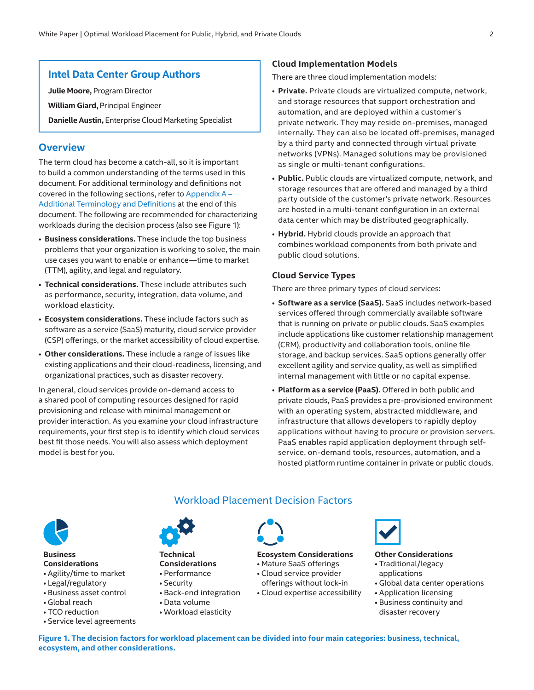## <span id="page-1-0"></span>**Intel Data Center Group Authors**

**Julie Moore,** Program Director

**William Giard,** Principal Engineer

**Danielle Austin,** Enterprise Cloud Marketing Specialist

#### **Overview**

The term cloud has become a catch-all, so it is important to build a common understanding of the terms used in this document. For additional terminology and definitions not covered in the following sections, refer to [Appendix](#page-7-1) A – [Additional Terminology and Definitions](#page-7-1) at the end of this document. The following are recommended for characterizing workloads during the decision process (also see Figure 1):

- **Business considerations.** These include the top business problems that your organization is working to solve, the main use cases you want to enable or enhance—time to market (TTM), agility, and legal and regulatory.
- **Technical considerations.** These include attributes such as performance, security, integration, data volume, and workload elasticity.
- **Ecosystem considerations.** These include factors such as software as a service (SaaS) maturity, cloud service provider (CSP) offerings, or the market accessibility of cloud expertise.
- **Other considerations.** These include a range of issues like existing applications and their cloud-readiness, licensing, and organizational practices, such as disaster recovery.

In general, cloud services provide on-demand access to a shared pool of computing resources designed for rapid provisioning and release with minimal management or provider interaction. As you examine your cloud infrastructure requirements, your first step is to identify which cloud services best fit those needs. You will also assess which deployment model is best for you.

#### **Cloud Implementation Models**

There are three cloud implementation models:

- **Private.** Private clouds are virtualized compute, network, and storage resources that support orchestration and automation, and are deployed within a customer's private network. They may reside on-premises, managed internally. They can also be located off-premises, managed by a third party and connected through virtual private networks (VPNs). Managed solutions may be provisioned as single or multi-tenant configurations.
- **Public.** Public clouds are virtualized compute, network, and storage resources that are offered and managed by a third party outside of the customer's private network. Resources are hosted in a multi-tenant configuration in an external data center which may be distributed geographically.
- **Hybrid.** Hybrid clouds provide an approach that combines workload components from both private and public cloud solutions.

#### **Cloud Service Types**

There are three primary types of cloud services:

- **Software as a service (SaaS).** SaaS includes network-based services offered through commercially available software that is running on private or public clouds. SaaS examples include applications like customer relationship management (CRM), productivity and collaboration tools, online file storage, and backup services. SaaS options generally offer excellent agility and service quality, as well as simplified internal management with little or no capital expense.
- **Platform as a service (PaaS).** Offered in both public and private clouds, PaaS provides a pre-provisioned environment with an operating system, abstracted middleware, and infrastructure that allows developers to rapidly deploy applications without having to procure or provision servers. PaaS enables rapid application deployment through selfservice, on-demand tools, resources, automation, and a hosted platform runtime container in private or public clouds.



## **Business Considerations**

- Agility/time to market
- Legal/regulatory
- Business asset control • Global reach
- TCO reduction
- Service level agreements



**Technical Considerations** • Performance

- Security
- Back-end integration
- Data volume
- Workload elasticity



Workload Placement Decision Factors

#### **Ecosystem Considerations** • Mature SaaS offerings

- Cloud service provider
- offerings without lock-in
- Cloud expertise accessibility



#### **Other Considerations**

- Traditional/legacy applications
- Global data center operations
- Application licensing
- Business continuity and disaster recovery

**Figure 1. The decision factors for workload placement can be divided into four main categories: business, technical, ecosystem, and other considerations.**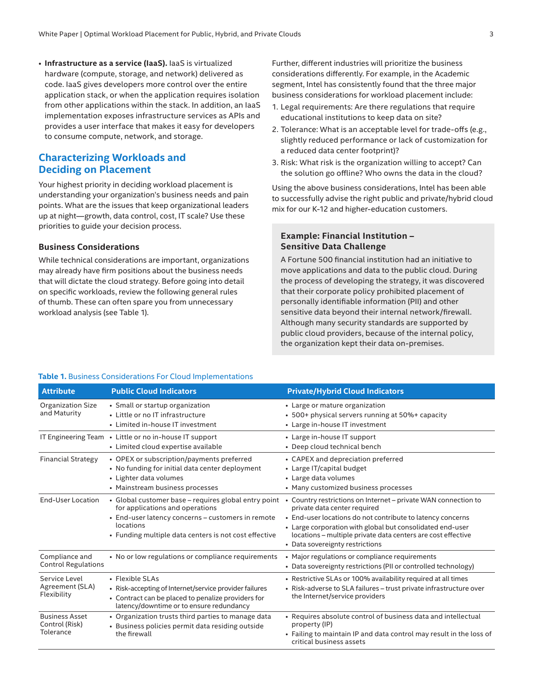<span id="page-2-0"></span>• **Infrastructure as a service (IaaS).** IaaS is virtualized hardware (compute, storage, and network) delivered as code. IaaS gives developers more control over the entire application stack, or when the application requires isolation from other applications within the stack. In addition, an IaaS implementation exposes infrastructure services as APIs and provides a user interface that makes it easy for developers to consume compute, network, and storage.

## **Characterizing Workloads and Deciding on Placement**

Your highest priority in deciding workload placement is understanding your organization's business needs and pain points. What are the issues that keep organizational leaders up at night—growth, data control, cost, IT scale? Use these priorities to guide your decision process.

#### **Business Considerations**

While technical considerations are important, organizations may already have firm positions about the business needs that will dictate the cloud strategy. Before going into detail on specific workloads, review the following general rules of thumb. These can often spare you from unnecessary workload analysis (see Table 1).

Further, different industries will prioritize the business considerations differently. For example, in the Academic segment, Intel has consistently found that the three major business considerations for workload placement include:

- 1. Legal requirements: Are there regulations that require educational institutions to keep data on site?
- 2. Tolerance: What is an acceptable level for trade-offs (e.g., slightly reduced performance or lack of customization for a reduced data center footprint)?
- 3. Risk: What risk is the organization willing to accept? Can the solution go offline? Who owns the data in the cloud?

Using the above business considerations, Intel has been able to successfully advise the right public and private/hybrid cloud mix for our K-12 and higher-education customers.

#### **Example: Financial Institution – Sensitive Data Challenge**

A Fortune 500 financial institution had an initiative to move applications and data to the public cloud. During the process of developing the strategy, it was discovered that their corporate policy prohibited placement of personally identifiable information (PII) and other sensitive data beyond their internal network/firewall. Although many security standards are supported by public cloud providers, because of the internal policy, the organization kept their data on-premises.

| Table 1. Business Considerations For Cloud Implementations |  |
|------------------------------------------------------------|--|
|------------------------------------------------------------|--|

| <b>Attribute</b>                                     | <b>Public Cloud Indicators</b>                                                                                                                                                                                     | <b>Private/Hybrid Cloud Indicators</b>                                                                                                                                                                                                                                                                                       |
|------------------------------------------------------|--------------------------------------------------------------------------------------------------------------------------------------------------------------------------------------------------------------------|------------------------------------------------------------------------------------------------------------------------------------------------------------------------------------------------------------------------------------------------------------------------------------------------------------------------------|
| <b>Organization Size</b><br>and Maturity             | • Small or startup organization<br>• Little or no IT infrastructure<br>• Limited in-house IT investment                                                                                                            | • Large or mature organization<br>• 500+ physical servers running at 50%+ capacity<br>• Large in-house IT investment                                                                                                                                                                                                         |
| IT Engineering Team                                  | • Little or no in-house IT support<br>• Limited cloud expertise available                                                                                                                                          | • Large in-house IT support<br>• Deep cloud technical bench                                                                                                                                                                                                                                                                  |
| <b>Financial Strategy</b>                            | • OPEX or subscription/payments preferred<br>• No funding for initial data center deployment<br>• Lighter data volumes<br>• Mainstream business processes                                                          | • CAPEX and depreciation preferred<br>• Large IT/capital budget<br>• Large data volumes<br>• Many customized business processes                                                                                                                                                                                              |
| <b>End-User Location</b>                             | • Global customer base – requires global entry point<br>for applications and operations<br>• End-user latency concerns - customers in remote<br>locations<br>• Funding multiple data centers is not cost effective | • Country restrictions on Internet – private WAN connection to<br>private data center required<br>• End-user locations do not contribute to latency concerns<br>• Large corporation with global but consolidated end-user<br>locations – multiple private data centers are cost effective<br>• Data sovereignty restrictions |
| Compliance and<br><b>Control Regulations</b>         | • No or low regulations or compliance requirements                                                                                                                                                                 | • Major regulations or compliance requirements<br>• Data sovereignty restrictions (PII or controlled technology)                                                                                                                                                                                                             |
| Service Level<br>Agreement (SLA)<br>Flexibility      | • Flexible SLAs<br>• Risk-accepting of Internet/service provider failures<br>• Contract can be placed to penalize providers for<br>latency/downtime or to ensure redundancy                                        | • Restrictive SLAs or 100% availability required at all times<br>• Risk-adverse to SLA failures - trust private infrastructure over<br>the Internet/service providers                                                                                                                                                        |
| <b>Business Asset</b><br>Control (Risk)<br>Tolerance | • Organization trusts third parties to manage data<br>• Business policies permit data residing outside<br>the firewall                                                                                             | • Requires absolute control of business data and intellectual<br>property (IP)<br>• Failing to maintain IP and data control may result in the loss of<br>critical business assets                                                                                                                                            |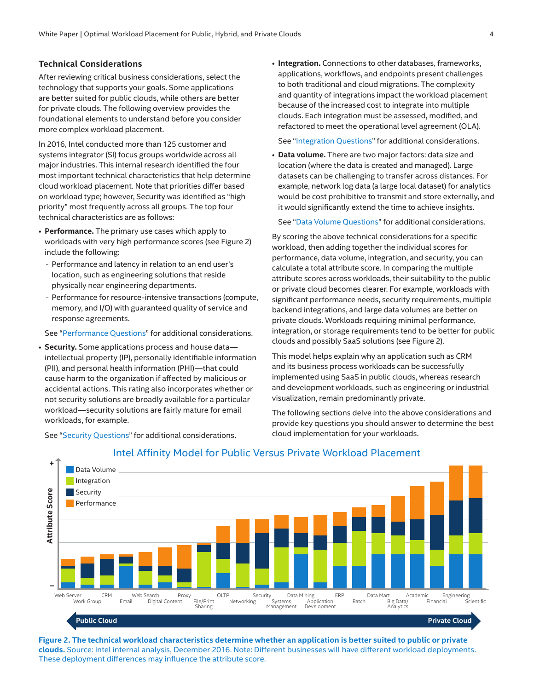#### <span id="page-3-0"></span>**Technical Considerations**

After reviewing critical business considerations, select the technology that supports your goals. Some applications are better suited for public clouds, while others are better for private clouds. The following overview provides the foundational elements to understand before you consider more complex workload placement.

In 2016, Intel conducted more than 125 customer and systems integrator (SI) focus groups worldwide across all major industries. This internal research identified the four most important technical characteristics that help determine cloud workload placement. Note that priorities differ based on workload type; however, Security was identified as "high priority" most frequently across all groups. The top four technical characteristics are as follows:

- **Performance.** The primary use cases which apply to workloads with very high performance scores (see Figure 2) include the following:
	- Performance and latency in relation to an end user's location, such as engineering solutions that reside physically near engineering departments.
	- Performance for resource-intensive transactions (compute, memory, and I/O) with guaranteed quality of service and response agreements.

See "[Performance Questions](#page-4-0)" for additional considerations.

• **Security.** Some applications process and house data intellectual property (IP), personally identifiable information (PII), and personal health information (PHI)—that could cause harm to the organization if affected by malicious or accidental actions. This rating also incorporates whether or not security solutions are broadly available for a particular workload—security solutions are fairly mature for email workloads, for example.

See "[Security Questions](#page-4-1)" for additional considerations.

• **Integration.** Connections to other databases, frameworks, applications, workflows, and endpoints present challenges to both traditional and cloud migrations. The complexity and quantity of integrations impact the workload placement because of the increased cost to integrate into multiple clouds. Each integration must be assessed, modified, and refactored to meet the operational level agreement (OLA).

See "[Integration Questions](#page-4-2)" for additional considerations.

• **Data volume.** There are two major factors: data size and location (where the data is created and managed). Large datasets can be challenging to transfer across distances. For example, network log data (a large local dataset) for analytics would be cost prohibitive to transmit and store externally, and it would significantly extend the time to achieve insights.

See "[Data Volume Questions](#page-5-1)" for additional considerations.

By scoring the above technical considerations for a specific workload, then adding together the individual scores for performance, data volume, integration, and security, you can calculate a total attribute score. In comparing the multiple attribute scores across workloads, their suitability to the public or private cloud becomes clearer. For example, workloads with significant performance needs, security requirements, multiple backend integrations, and large data volumes are better on private clouds. Workloads requiring minimal performance, integration, or storage requirements tend to be better for public clouds and possibly SaaS solutions (see Figure 2).

This model helps explain why an application such as CRM and its business process workloads can be successfully implemented using SaaS in public clouds, whereas research and development workloads, such as engineering or industrial visualization, remain predominantly private.

The following sections delve into the above considerations and provide key questions you should answer to determine the best cloud implementation for your workloads.



## Intel Affinity Model for Public Versus Private Workload Placement

**Figure 2. The technical workload characteristics determine whether an application is better suited to public or private clouds.** Source: Intel internal analysis, December 2016. Note: Different businesses will have different workload deployments.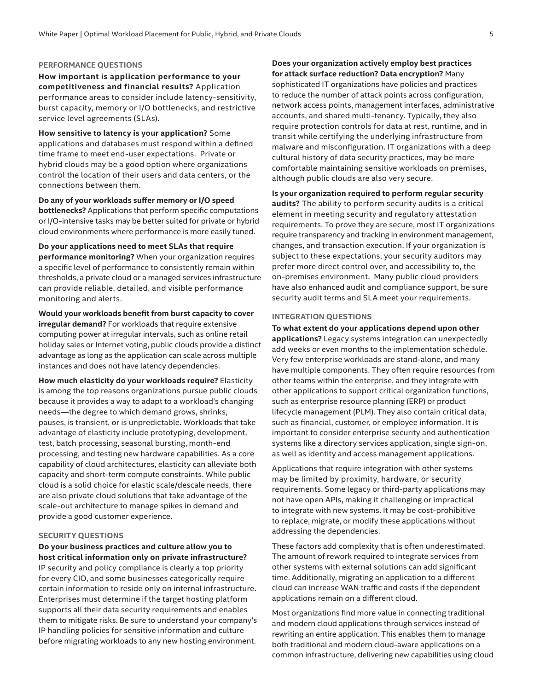#### <span id="page-4-0"></span>**PERFORMANCE QUESTIONS**

**How important is application performance to your competitiveness and financial results?** Application performance areas to consider include latency-sensitivity, burst capacity, memory or I/O bottlenecks, and restrictive service level agreements (SLAs).

**How sensitive to latency is your application?** Some applications and databases must respond within a defined time frame to meet end-user expectations. Private or hybrid clouds may be a good option where organizations control the location of their users and data centers, or the connections between them.

**Do any of your workloads suffer memory or I/O speed** 

**bottlenecks?** Applications that perform specific computations or I/O-intensive tasks may be better suited for private or hybrid cloud environments where performance is more easily tuned.

**Do your applications need to meet SLAs that require performance monitoring?** When your organization requires a specific level of performance to consistently remain within thresholds, a private cloud or a managed services infrastructure can provide reliable, detailed, and visible performance monitoring and alerts.

**Would your workloads benefit from burst capacity to cover irregular demand?** For workloads that require extensive computing power at irregular intervals, such as online retail holiday sales or Internet voting, public clouds provide a distinct advantage as long as the application can scale across multiple instances and does not have latency dependencies.

**How much elasticity do your workloads require?** Elasticity is among the top reasons organizations pursue public clouds because it provides a way to adapt to a workload's changing needs—the degree to which demand grows, shrinks, pauses, is transient, or is unpredictable. Workloads that take advantage of elasticity include prototyping, development, test, batch processing, seasonal bursting, month-end processing, and testing new hardware capabilities. As a core capability of cloud architectures, elasticity can alleviate both capacity and short-term compute constraints. While public cloud is a solid choice for elastic scale/descale needs, there are also private cloud solutions that take advantage of the scale-out architecture to manage spikes in demand and provide a good customer experience.

#### <span id="page-4-1"></span>**SECURITY QUESTIONS**

**Do your business practices and culture allow you to host critical information only on private infrastructure?** IP security and policy compliance is clearly a top priority for every CIO, and some businesses categorically require certain information to reside only on internal infrastructure. Enterprises must determine if the target hosting platform supports all their data security requirements and enables them to mitigate risks. Be sure to understand your company's IP handling policies for sensitive information and culture before migrating workloads to any new hosting environment.

#### **Does your organization actively employ best practices for attack surface reduction? Data encryption?** Many

sophisticated IT organizations have policies and practices to reduce the number of attack points across configuration, network access points, management interfaces, administrative accounts, and shared multi-tenancy. Typically, they also require protection controls for data at rest, runtime, and in transit while certifying the underlying infrastructure from malware and misconfiguration. IT organizations with a deep cultural history of data security practices, may be more comfortable maintaining sensitive workloads on premises, although public clouds are also very secure.

**Is your organization required to perform regular security audits?** The ability to perform security audits is a critical element in meeting security and regulatory attestation requirements. To prove they are secure, most IT organizations require transparency and tracking in environment management, changes, and transaction execution. If your organization is subject to these expectations, your security auditors may prefer more direct control over, and accessibility to, the on-premises environment. Many public cloud providers have also enhanced audit and compliance support, be sure security audit terms and SLA meet your requirements.

#### <span id="page-4-2"></span>**INTEGRATION QUESTIONS**

**To what extent do your applications depend upon other applications?** Legacy systems integration can unexpectedly add weeks or even months to the implementation schedule. Very few enterprise workloads are stand-alone, and many have multiple components. They often require resources from other teams within the enterprise, and they integrate with other applications to support critical organization functions, such as enterprise resource planning (ERP) or product lifecycle management (PLM). They also contain critical data, such as financial, customer, or employee information. It is important to consider enterprise security and authentication systems like a directory services application, single sign-on, as well as identity and access management applications.

Applications that require integration with other systems may be limited by proximity, hardware, or security requirements. Some legacy or third-party applications may not have open APIs, making it challenging or impractical to integrate with new systems. It may be cost-prohibitive to replace, migrate, or modify these applications without addressing the dependencies.

These factors add complexity that is often underestimated. The amount of rework required to integrate services from other systems with external solutions can add significant time. Additionally, migrating an application to a different cloud can increase WAN traffic and costs if the dependent applications remain on a different cloud.

Most organizations find more value in connecting traditional and modern cloud applications through services instead of rewriting an entire application. This enables them to manage both traditional and modern cloud-aware applications on a common infrastructure, delivering new capabilities using cloud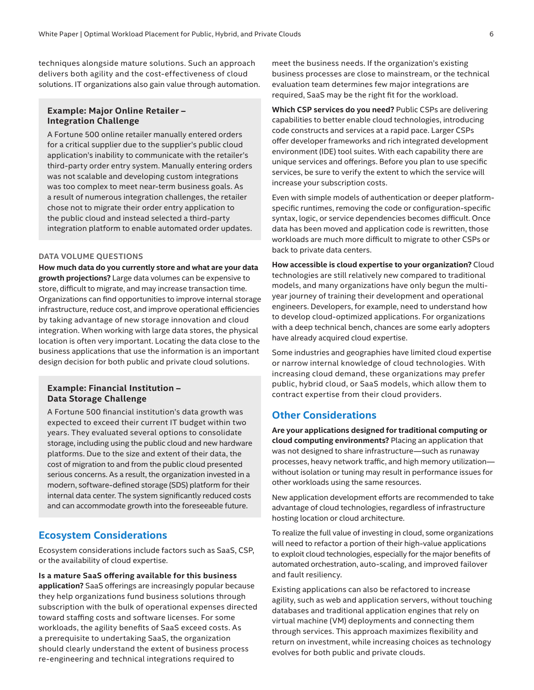<span id="page-5-0"></span>techniques alongside mature solutions. Such an approach delivers both agility and the cost-effectiveness of cloud solutions. IT organizations also gain value through automation.

## **Example: Major Online Retailer – Integration Challenge**

A Fortune 500 online retailer manually entered orders for a critical supplier due to the supplier's public cloud application's inability to communicate with the retailer's third-party order entry system. Manually entering orders was not scalable and developing custom integrations was too complex to meet near-term business goals. As a result of numerous integration challenges, the retailer chose not to migrate their order entry application to the public cloud and instead selected a third-party integration platform to enable automated order updates.

#### <span id="page-5-1"></span>**DATA VOLUME QUESTIONS**

**How much data do you currently store and what are your data growth projections?** Large data volumes can be expensive to store, difficult to migrate, and may increase transaction time. Organizations can find opportunities to improve internal storage infrastructure, reduce cost, and improve operational efficiencies by taking advantage of new storage innovation and cloud integration. When working with large data stores, the physical location is often very important. Locating the data close to the business applications that use the information is an important design decision for both public and private cloud solutions.

### **Example: Financial Institution – Data Storage Challenge**

A Fortune 500 financial institution's data growth was expected to exceed their current IT budget within two years. They evaluated several options to consolidate storage, including using the public cloud and new hardware platforms. Due to the size and extent of their data, the cost of migration to and from the public cloud presented serious concerns. As a result, the organization invested in a modern, software-defined storage (SDS) platform for their internal data center. The system significantly reduced costs and can accommodate growth into the foreseeable future.

## **Ecosystem Considerations**

Ecosystem considerations include factors such as SaaS, CSP, or the availability of cloud expertise.

**Is a mature SaaS offering available for this business application?** SaaS offerings are increasingly popular because they help organizations fund business solutions through subscription with the bulk of operational expenses directed toward staffing costs and software licenses. For some workloads, the agility benefits of SaaS exceed costs. As a prerequisite to undertaking SaaS, the organization should clearly understand the extent of business process re-engineering and technical integrations required to

meet the business needs. If the organization's existing business processes are close to mainstream, or the technical evaluation team determines few major integrations are required, SaaS may be the right fit for the workload.

**Which CSP services do you need?** Public CSPs are delivering capabilities to better enable cloud technologies, introducing code constructs and services at a rapid pace. Larger CSPs offer developer frameworks and rich integrated development environment (IDE) tool suites. With each capability there are unique services and offerings. Before you plan to use specific services, be sure to verify the extent to which the service will increase your subscription costs.

Even with simple models of authentication or deeper platformspecific runtimes, removing the code or configuration-specific syntax, logic, or service dependencies becomes difficult. Once data has been moved and application code is rewritten, those workloads are much more difficult to migrate to other CSPs or back to private data centers.

**How accessible is cloud expertise to your organization?** Cloud technologies are still relatively new compared to traditional models, and many organizations have only begun the multiyear journey of training their development and operational engineers. Developers, for example, need to understand how to develop cloud-optimized applications. For organizations with a deep technical bench, chances are some early adopters have already acquired cloud expertise.

Some industries and geographies have limited cloud expertise or narrow internal knowledge of cloud technologies. With increasing cloud demand, these organizations may prefer public, hybrid cloud, or SaaS models, which allow them to contract expertise from their cloud providers.

## **Other Considerations**

**Are your applications designed for traditional computing or cloud computing environments?** Placing an application that was not designed to share infrastructure—such as runaway processes, heavy network traffic, and high memory utilization without isolation or tuning may result in performance issues for other workloads using the same resources.

New application development efforts are recommended to take advantage of cloud technologies, regardless of infrastructure hosting location or cloud architecture.

To realize the full value of investing in cloud, some organizations will need to refactor a portion of their high-value applications to exploit cloud technologies, especially for the major benefits of automated orchestration, auto-scaling, and improved failover and fault resiliency.

Existing applications can also be refactored to increase agility, such as web and application servers, without touching databases and traditional application engines that rely on virtual machine (VM) deployments and connecting them through services. This approach maximizes flexibility and return on investment, while increasing choices as technology evolves for both public and private clouds.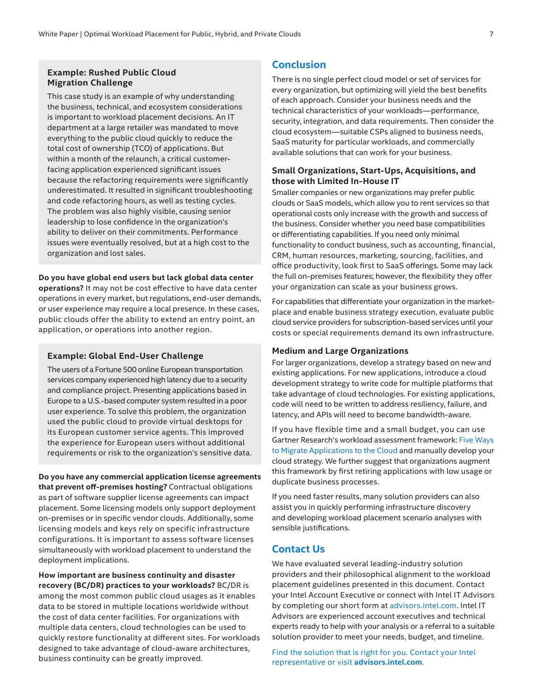## <span id="page-6-0"></span>**Example: Rushed Public Cloud Migration Challenge**

This case study is an example of why understanding the business, technical, and ecosystem considerations is important to workload placement decisions. An IT department at a large retailer was mandated to move everything to the public cloud quickly to reduce the total cost of ownership (TCO) of applications. But within a month of the relaunch, a critical customerfacing application experienced significant issues because the refactoring requirements were significantly underestimated. It resulted in significant troubleshooting and code refactoring hours, as well as testing cycles. The problem was also highly visible, causing senior leadership to lose confidence in the organization's ability to deliver on their commitments. Performance issues were eventually resolved, but at a high cost to the organization and lost sales.

#### **Do you have global end users but lack global data center**

**operations?** It may not be cost effective to have data center operations in every market, but regulations, end-user demands, or user experience may require a local presence. In these cases, public clouds offer the ability to extend an entry point, an application, or operations into another region.

#### **Example: Global End-User Challenge**

The users of a Fortune 500 online European transportation services company experienced high latency due to a security and compliance project. Presenting applications based in Europe to a U.S.-based computer system resulted in a poor user experience. To solve this problem, the organization used the public cloud to provide virtual desktops for its European customer service agents. This improved the experience for European users without additional requirements or risk to the organization's sensitive data.

**Do you have any commercial application license agreements that prevent off-premises hosting?** Contractual obligations as part of software supplier license agreements can impact placement. Some licensing models only support deployment on-premises or in specific vendor clouds. Additionally, some licensing models and keys rely on specific infrastructure configurations. It is important to assess software licenses simultaneously with workload placement to understand the deployment implications.

**How important are business continuity and disaster recovery (BC/DR) practices to your workloads?** BC/DR is among the most common public cloud usages as it enables data to be stored in multiple locations worldwide without the cost of data center facilities. For organizations with multiple data centers, cloud technologies can be used to quickly restore functionality at different sites. For workloads designed to take advantage of cloud-aware architectures, business continuity can be greatly improved.

## **Conclusion**

There is no single perfect cloud model or set of services for every organization, but optimizing will yield the best benefits of each approach. Consider your business needs and the technical characteristics of your workloads—performance, security, integration, and data requirements. Then consider the cloud ecosystem—suitable CSPs aligned to business needs, SaaS maturity for particular workloads, and commercially available solutions that can work for your business.

#### **Small Organizations, Start-Ups, Acquisitions, and those with Limited In-House IT**

Smaller companies or new organizations may prefer public clouds or SaaS models, which allow you to rent services so that operational costs only increase with the growth and success of the business. Consider whether you need base compatibilities or differentiating capabilities. If you need only minimal functionality to conduct business, such as accounting, financial, CRM, human resources, marketing, sourcing, facilities, and office productivity, look first to SaaS offerings. Some may lack the full on-premises features; however, the flexibility they offer your organization can scale as your business grows.

For capabilities that differentiate your organization in the marketplace and enable business strategy execution, evaluate public cloud service providers for subscription-based services until your costs or special requirements demand its own infrastructure.

#### **Medium and Large Organizations**

For larger organizations, develop a strategy based on new and existing applications. For new applications, introduce a cloud development strategy to write code for multiple platforms that take advantage of cloud technologies. For existing applications, code will need to be written to address resiliency, failure, and latency, and APIs will need to become bandwidth-aware.

If you have flexible time and a small budget, you can use Gartner Research's workload assessment framework: [Five Ways](http://www.gartner.com/newsroom/id/1684114)  [to Migrate Applications to the Cloud](http://www.gartner.com/newsroom/id/1684114) and manually develop your cloud strategy. We further suggest that organizations augment this framework by first retiring applications with low usage or duplicate business processes.

If you need faster results, many solution providers can also assist you in quickly performing infrastructure discovery and developing workload placement scenario analyses with sensible justifications.

### **Contact Us**

We have evaluated several leading-industry solution providers and their philosophical alignment to the workload placement guidelines presented in this document. Contact your Intel Account Executive or connect with Intel IT Advisors by completing our short form at [advisors.intel.com.](http://advisors.intel.com) Intel IT Advisors are experienced account executives and technical experts ready to help with your analysis or a referral to a suitable solution provider to meet your needs, budget, and timeline.

Find the solution that is right for you. Contact your Intel representative or visit **[advisors.intel.com](http://advisors.intel.com)**.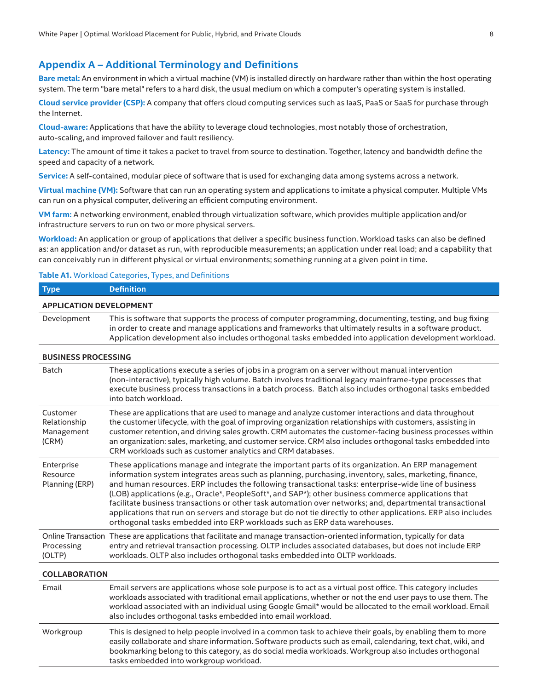## <span id="page-7-1"></span><span id="page-7-0"></span>**Appendix A – Additional Terminology and Definitions**

**Bare metal:** An environment in which a virtual machine (VM) is installed directly on hardware rather than within the host operating system. The term "bare metal" refers to a hard disk, the usual medium on which a computer's operating system is installed.

**Cloud service provider (CSP):** A company that offers cloud computing services such as IaaS, PaaS or SaaS for purchase through the Internet.

**Cloud-aware:** Applications that have the ability to leverage cloud technologies, most notably those of orchestration, auto-scaling, and improved failover and fault resiliency.

**Latency:** The amount of time it takes a packet to travel from source to destination. Together, latency and bandwidth define the speed and capacity of a network.

**Service:** A self-contained, modular piece of software that is used for exchanging data among systems across a network.

**Virtual machine (VM):** Software that can run an operating system and applications to imitate a physical computer. Multiple VMs can run on a physical computer, delivering an efficient computing environment.

**VM farm:** A networking environment, enabled through virtualization software, which provides multiple application and/or infrastructure servers to run on two or more physical servers.

**Workload:** An application or group of applications that deliver a specific business function. Workload tasks can also be defined as: an application and/or dataset as run, with reproducible measurements; an application under real load; and a capability that can conceivably run in different physical or virtual environments; something running at a given point in time.

#### **Table A1.** Workload Categories, Types, and Definitions

| <b>Type</b>                                     | <b>Definition</b>                                                                                                                                                                                                                                                                                                                                                                                                                                                                                                                                                                                                                                                                                                                        |  |  |  |
|-------------------------------------------------|------------------------------------------------------------------------------------------------------------------------------------------------------------------------------------------------------------------------------------------------------------------------------------------------------------------------------------------------------------------------------------------------------------------------------------------------------------------------------------------------------------------------------------------------------------------------------------------------------------------------------------------------------------------------------------------------------------------------------------------|--|--|--|
| <b>APPLICATION DEVELOPMENT</b>                  |                                                                                                                                                                                                                                                                                                                                                                                                                                                                                                                                                                                                                                                                                                                                          |  |  |  |
| Development                                     | This is software that supports the process of computer programming, documenting, testing, and bug fixing<br>in order to create and manage applications and frameworks that ultimately results in a software product.<br>Application development also includes orthogonal tasks embedded into application development workload.                                                                                                                                                                                                                                                                                                                                                                                                           |  |  |  |
| <b>BUSINESS PROCESSING</b>                      |                                                                                                                                                                                                                                                                                                                                                                                                                                                                                                                                                                                                                                                                                                                                          |  |  |  |
| Batch                                           | These applications execute a series of jobs in a program on a server without manual intervention<br>(non-interactive), typically high volume. Batch involves traditional legacy mainframe-type processes that<br>execute business process transactions in a batch process. Batch also includes orthogonal tasks embedded<br>into batch workload.                                                                                                                                                                                                                                                                                                                                                                                         |  |  |  |
| Customer<br>Relationship<br>Management<br>(CRM) | These are applications that are used to manage and analyze customer interactions and data throughout<br>the customer lifecycle, with the goal of improving organization relationships with customers, assisting in<br>customer retention, and driving sales growth. CRM automates the customer-facing business processes within<br>an organization: sales, marketing, and customer service. CRM also includes orthogonal tasks embedded into<br>CRM workloads such as customer analytics and CRM databases.                                                                                                                                                                                                                              |  |  |  |
| Enterprise<br>Resource<br>Planning (ERP)        | These applications manage and integrate the important parts of its organization. An ERP management<br>information system integrates areas such as planning, purchasing, inventory, sales, marketing, finance,<br>and human resources. ERP includes the following transactional tasks: enterprise-wide line of business<br>(LOB) applications (e.g., Oracle*, PeopleSoft*, and SAP*); other business commerce applications that<br>facilitate business transactions or other task automation over networks; and, departmental transactional<br>applications that run on servers and storage but do not tie directly to other applications. ERP also includes<br>orthogonal tasks embedded into ERP workloads such as ERP data warehouses. |  |  |  |
| Processing<br>(OLTP)                            | Online Transaction These are applications that facilitate and manage transaction-oriented information, typically for data<br>entry and retrieval transaction processing. OLTP includes associated databases, but does not include ERP<br>workloads. OLTP also includes orthogonal tasks embedded into OLTP workloads.                                                                                                                                                                                                                                                                                                                                                                                                                    |  |  |  |
| <b>COLLABORATION</b>                            |                                                                                                                                                                                                                                                                                                                                                                                                                                                                                                                                                                                                                                                                                                                                          |  |  |  |
| Email                                           | Email servers are applications whose sole purpose is to act as a virtual post office. This category includes<br>workloads associated with traditional email applications, whether or not the end user pays to use them. The<br>workload associated with an individual using Google Gmail* would be allocated to the email workload. Email<br>also includes orthogonal tasks embedded into email workload.                                                                                                                                                                                                                                                                                                                                |  |  |  |
| Workgroup                                       | This is designed to help people involved in a common task to achieve their goals, by enabling them to more<br>easily collaborate and share information. Software products such as email, calendaring, text chat, wiki, and<br>bookmarking belong to this category, as do social media workloads. Workgroup also includes orthogonal<br>tasks embedded into workgroup workload.                                                                                                                                                                                                                                                                                                                                                           |  |  |  |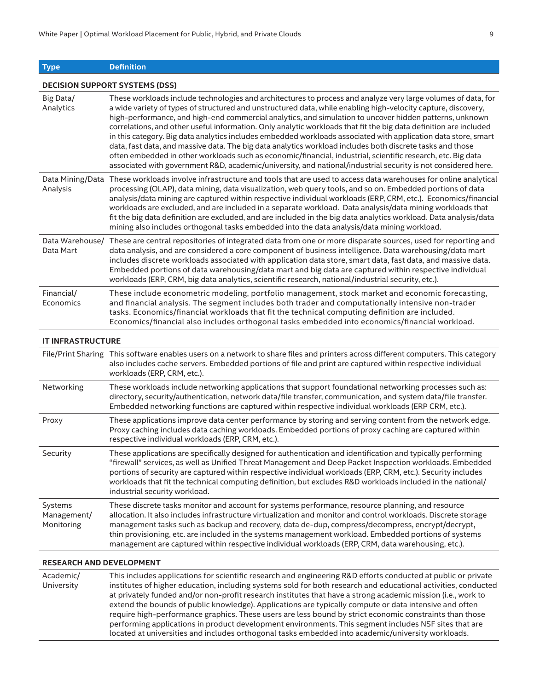**Type Definition**

**DECISION SUPPORT SYSTEMS (DSS)**

| Big Data/<br>Analytics               | These workloads include technologies and architectures to process and analyze very large volumes of data, for<br>a wide variety of types of structured and unstructured data, while enabling high-velocity capture, discovery,<br>high-performance, and high-end commercial analytics, and simulation to uncover hidden patterns, unknown<br>correlations, and other useful information. Only analytic workloads that fit the big data definition are included<br>in this category. Big data analytics includes embedded workloads associated with application data store, smart<br>data, fast data, and massive data. The big data analytics workload includes both discrete tasks and those<br>often embedded in other workloads such as economic/financial, industrial, scientific research, etc. Big data<br>associated with government R&D, academic/university, and national/industrial security is not considered here. |
|--------------------------------------|--------------------------------------------------------------------------------------------------------------------------------------------------------------------------------------------------------------------------------------------------------------------------------------------------------------------------------------------------------------------------------------------------------------------------------------------------------------------------------------------------------------------------------------------------------------------------------------------------------------------------------------------------------------------------------------------------------------------------------------------------------------------------------------------------------------------------------------------------------------------------------------------------------------------------------|
| Analysis                             | Data Mining/Data These workloads involve infrastructure and tools that are used to access data warehouses for online analytical<br>processing (OLAP), data mining, data visualization, web query tools, and so on. Embedded portions of data<br>analysis/data mining are captured within respective individual workloads (ERP, CRM, etc.). Economics/financial<br>workloads are excluded, and are included in a separate workload. Data analysis/data mining workloads that<br>fit the big data definition are excluded, and are included in the big data analytics workload. Data analysis/data<br>mining also includes orthogonal tasks embedded into the data analysis/data mining workload.                                                                                                                                                                                                                                |
| Data Mart                            | Data Warehouse/ These are central repositories of integrated data from one or more disparate sources, used for reporting and<br>data analysis, and are considered a core component of business intelligence. Data warehousing/data mart<br>includes discrete workloads associated with application data store, smart data, fast data, and massive data.<br>Embedded portions of data warehousing/data mart and big data are captured within respective individual<br>workloads (ERP, CRM, big data analytics, scientific research, national/industrial security, etc.).                                                                                                                                                                                                                                                                                                                                                        |
| Financial/<br>Economics              | These include econometric modeling, portfolio management, stock market and economic forecasting,<br>and financial analysis. The segment includes both trader and computationally intensive non-trader<br>tasks. Economics/financial workloads that fit the technical computing definition are included.<br>Economics/financial also includes orthogonal tasks embedded into economics/financial workload.                                                                                                                                                                                                                                                                                                                                                                                                                                                                                                                      |
| <b>IT INFRASTRUCTURE</b>             |                                                                                                                                                                                                                                                                                                                                                                                                                                                                                                                                                                                                                                                                                                                                                                                                                                                                                                                                |
|                                      | File/Print Sharing This software enables users on a network to share files and printers across different computers. This category<br>also includes cache servers. Embedded portions of file and print are captured within respective individual<br>workloads (ERP, CRM, etc.).                                                                                                                                                                                                                                                                                                                                                                                                                                                                                                                                                                                                                                                 |
| Networking                           | These workloads include networking applications that support foundational networking processes such as:<br>directory, security/authentication, network data/file transfer, communication, and system data/file transfer.<br>Embedded networking functions are captured within respective individual workloads (ERP CRM, etc.).                                                                                                                                                                                                                                                                                                                                                                                                                                                                                                                                                                                                 |
| Proxy                                | These applications improve data center performance by storing and serving content from the network edge.<br>Proxy caching includes data caching workloads. Embedded portions of proxy caching are captured within<br>respective individual workloads (ERP, CRM, etc.).                                                                                                                                                                                                                                                                                                                                                                                                                                                                                                                                                                                                                                                         |
| Security                             | These applications are specifically designed for authentication and identification and typically performing<br>"firewall" services, as well as Unified Threat Management and Deep Packet Inspection workloads. Embedded<br>portions of security are captured within respective individual workloads (ERP, CRM, etc.). Security includes<br>workloads that fit the technical computing definition, but excludes R&D workloads included in the national/<br>industrial security workload.                                                                                                                                                                                                                                                                                                                                                                                                                                        |
| Systems<br>Management/<br>Monitoring | These discrete tasks monitor and account for systems performance, resource planning, and resource<br>allocation. It also includes infrastructure virtualization and monitor and control workloads. Discrete storage<br>management tasks such as backup and recovery, data de-dup, compress/decompress, encrypt/decrypt,<br>thin provisioning, etc. are included in the systems management workload. Embedded portions of systems<br>management are captured within respective individual workloads (ERP, CRM, data warehousing, etc.).                                                                                                                                                                                                                                                                                                                                                                                         |
|                                      |                                                                                                                                                                                                                                                                                                                                                                                                                                                                                                                                                                                                                                                                                                                                                                                                                                                                                                                                |

#### **RESEARCH AND DEVELOPMENT**

Academic/ University This includes applications for scientific research and engineering R&D efforts conducted at public or private institutes of higher education, including systems sold for both research and educational activities, conducted at privately funded and/or non-profit research institutes that have a strong academic mission (i.e., work to extend the bounds of public knowledge). Applications are typically compute or data intensive and often require high-performance graphics. These users are less bound by strict economic constraints than those performing applications in product development environments. This segment includes NSF sites that are located at universities and includes orthogonal tasks embedded into academic/university workloads.